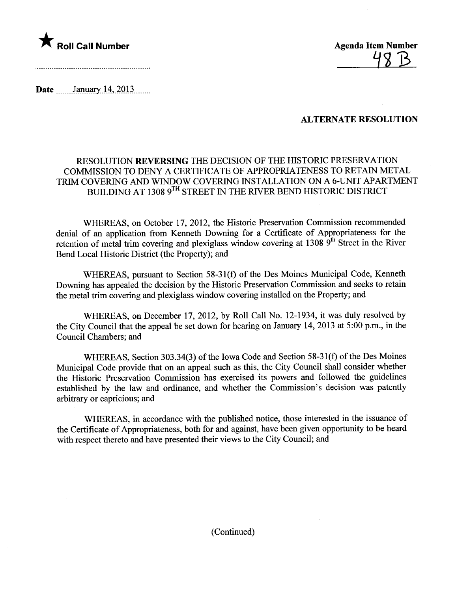

48 B

Date \_\_\_\_\_\_\_January 14, 2013 \_\_\_\_...

## ALTERNATE RESOLUTION

## RESOLUTION REVERSING THE DECISION OF THE HISTORIC PRESERVATION COMMISSION TO DENY A CERTIFICATE OF APPROPRIATENESS TO RETAIN METAL TRIM COVERING AND WINDOW COVERING INSTALLATION ON A 6-UNIT APARTMENT BUILDING AT 1308 9TH STREET IN THE RIVER BEND HISTORIC DISTRICT

WHEREAS, on October 17,2012, the Historic Preservation Commission recommended denial of an application from Kenneth Downing for a Certificate of Appropriateness for the retention of metal trim covering and plexiglass window covering at 1308  $\hat{9}^{th}$  Street in the River Bend Local Historic District (the Property); and

WHEREAS, pursuant to Section 58-31(f) of the Des Moines Municipal Code, Kenneth Downing has appealed the decision by the Historic Preservation Commission and seeks to retain the metal trim covering and plexiglass window covering installed on the Property; and

WHEREAS, on December 17,2012, by Roll Call No. 12-1934, it was duly resolved by the City Council that the appeal be set down for hearng on January 14,2013 at 5:00 p.m., in the Council Chambers; and

WHEREAS, Section 303.34(3) of the Iowa Code and Section 58-31(f) of the Des Moines Municipal Code provide that on an appeal such as this, the City Council shall consider whether the Historic Preservation Commission has exercised its powers and followed the guidelines established by the law and ordinance, and whether the Commission's decision was patently arbitrary or capricious; and

WHEREAS, in accordance with the published notice, those interested in the issuance of the Certificate of Appropriateness, both for and against, have been given opportunity to be heard with respect thereto and have presented their views to the City Council; and